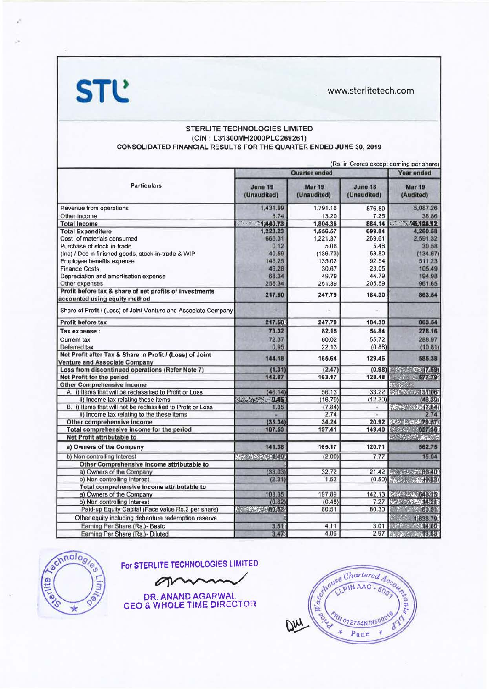**STL** 

www.sterlitetech.com

## STERLITE TECHNOLOGIES LIMITED (CIN: L31300MH2000PLC269261) CONSOLIDATED FINANCIAL RESULTS FOR THE QUARTER ENDED JUNE 30, 2019

|                                                                                                  | (Rs. in Crores except earning per share) |                              |                               |                                                                                  |  |
|--------------------------------------------------------------------------------------------------|------------------------------------------|------------------------------|-------------------------------|----------------------------------------------------------------------------------|--|
| <b>Particulars</b>                                                                               | <b>Quarter ended</b>                     |                              |                               | <b>Year ended</b>                                                                |  |
|                                                                                                  | June 19<br>(Unaudited)                   | <b>Mar 19</b><br>(Unaudited) | <b>June 18</b><br>(Unaudited) | <b>Mar 19</b><br>(Audited)                                                       |  |
| Revenue from operations                                                                          | 1,431.99                                 | 1.791.16                     | 876.89                        | 5,087.26                                                                         |  |
| Other income                                                                                     | 8.74                                     | 13.20                        | 7.25                          | 36.86                                                                            |  |
| <b>Total Income</b>                                                                              | 1,440.73<br>$S_{12}$ and                 | 1,804.36                     | 884.14                        | <b>NASK AUGUST 124.12</b>                                                        |  |
| <b>Total Expenditure</b>                                                                         | 1,223.23                                 | 1,556.57                     | 699.84                        | 4,260.58                                                                         |  |
| Cost of materials consumed                                                                       | 666.31                                   | 1,221.37                     | 269.61                        | 2,591.32                                                                         |  |
| Purchase of stock-in-trade                                                                       | 0.12                                     | 5.06                         | 5.46                          | 30.58                                                                            |  |
| (Inc) / Dec in finished goods, stock-in-trade & WIP                                              | 40.59                                    | (136.73)                     | 58.80                         | (134.67)                                                                         |  |
| Employee benefits expense                                                                        | 146.25                                   | 135.02                       | 92.54                         | 511.23                                                                           |  |
| <b>Finance Costs</b>                                                                             | 46.28                                    | 30.67                        | 23.05                         | 105.49                                                                           |  |
| Depreciation and amortisation expense                                                            | 68.34                                    | 49.79                        | 44.79                         | 194.98                                                                           |  |
| Other expenses                                                                                   | 255.34                                   | 251.39                       | 205.59                        | 961.65                                                                           |  |
| Profit before tax & share of net profits of investments<br>accounted using equity method         | 217.50                                   | 247.79                       | 184.30                        | 863.54                                                                           |  |
| Share of Profit / (Loss) of Joint Venture and Associate Company                                  |                                          |                              |                               |                                                                                  |  |
| <b>Profit before tax</b>                                                                         | 217.50                                   | 247.79                       | 184.30                        | 863.54                                                                           |  |
| Tax expense :                                                                                    | 73.32                                    | 82.15                        | 54.84                         | 278.16                                                                           |  |
| <b>Current tax</b>                                                                               | 72.37                                    | 60.02                        | 55.72                         | 288.97                                                                           |  |
| Deferred tax                                                                                     | 0.95                                     | 22.13                        | (0.88)                        | (10.81)                                                                          |  |
| Net Profit after Tax & Share in Profit / (Loss) of Joint<br><b>Venture and Associate Company</b> | 144.18                                   | 165.64                       | 129.46                        | 585.38                                                                           |  |
| Loss from discontinued operations (Refer Note 7)                                                 | (1.31)                                   | (2.47)                       | (0.98)                        | 1.57737(759)                                                                     |  |
| Net Profit for the period                                                                        | 142.87                                   | 163.17                       | 128.48                        | <b>ST7-79</b>                                                                    |  |
| <b>Other Comprehensive income</b>                                                                |                                          |                              |                               | Kafari K                                                                         |  |
| A. i) Items that will be reclassified to Profit or Loss                                          | (46.14)                                  | 56.13                        | 33.22                         | 2008 天图 06                                                                       |  |
| ii) Income tax relating these items                                                              | <b>Analistic</b><br>日本版                  | (16.79)                      | (12.30)                       | (46, 39)                                                                         |  |
| B. i) Items that will not be reclassified to Profit or Loss                                      | 1.35                                     | (7.84)                       | u,                            | $\mathcal{G}(\mathcal{E}) = \mathcal{G}(\mathcal{E}) = \mathcal{G}(\mathcal{E})$ |  |
| ii) Income tax relating to the these items                                                       |                                          | 2.74                         | ۰                             | 2.74                                                                             |  |
| Other comprehensive income                                                                       | (35.34)                                  | 34.24                        | 20.92                         | $82.433 - 11.44$                                                                 |  |
| Total comprehensive income for the period                                                        | 107.53                                   | 197.41                       | 149.40                        | <b>Barbaran 657.36</b>                                                           |  |
| <b>Net Profit attributable to</b>                                                                |                                          |                              |                               | A CALIFORNIA                                                                     |  |
| a) Owners of the Company                                                                         | 141.38                                   | 165.17                       | 120.71                        | 562.75                                                                           |  |
| b) Non controlling Interest                                                                      | 15-24 经总额 1-11                           | (2.00)                       | 7.77                          | 15.04                                                                            |  |
| Other Comprehensive income attributable to                                                       |                                          |                              |                               |                                                                                  |  |
| a) Owners of the Company                                                                         | (33.03)                                  | 32.72                        |                               |                                                                                  |  |
| b) Non controlling Interest                                                                      | (2.31)                                   | 1.52                         |                               | $(0.50)$ $\rightarrow$ $\rightarrow$ $\rightarrow$ $(0.5)$                       |  |
| Total comprehensive income attributable to                                                       |                                          |                              |                               |                                                                                  |  |
| a) Owners of the Company                                                                         | 108.35                                   | 197.89                       | 142.13                        | <b>「ネット」の「大きさ」</b>                                                               |  |
| b) Non controlling Interest                                                                      | (0.82)                                   | (0.48)                       | 7.27                          | 2 《 种爱什么                                                                         |  |
| Paid-up Equity Capital (Face value Rs.2 per share)                                               | <b>See Press Profession</b>              | 80.51                        | 80.30                         | <b>CALC 80.51</b>                                                                |  |
| Other equity including debenture redemption reserve                                              |                                          |                              |                               | 1,638.79                                                                         |  |
| Earning Per Share (Rs.)- Basic                                                                   | 3.515                                    | 4.11                         | 3.01                          | $1377 - 121400$                                                                  |  |
| Earning Per Share (Rs.)- Diluted                                                                 | 3.47%                                    | 4.06                         |                               | 2.97 3.83                                                                        |  |



For STERLITE TECHNOLOGIES LIMITED

on

DR. ANAND AGARWAL<br>CEO & WHOLE TIME DIRECTOR

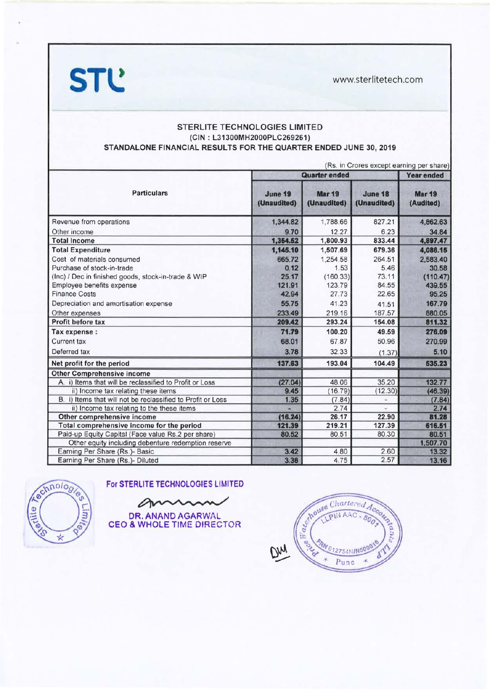**STl!** www.sterlitetech.com



| <b>Particulars</b>                                          | (Rs. in Crores except earning per share)<br><b>Quarter ended</b> |                              |                        | <b>Year ended</b>          |
|-------------------------------------------------------------|------------------------------------------------------------------|------------------------------|------------------------|----------------------------|
|                                                             | June 19<br>(Unaudited)                                           | <b>Mar 19</b><br>(Unaudited) | June 18<br>(Unaudited) | <b>Mar 19</b><br>(Audited) |
| Revenue from operations                                     | 1,344.82                                                         | 1,788.66                     | 827.21                 | 4,862.63                   |
| Other income                                                | 9.70                                                             | 12.27                        | 6.23                   | 34.84                      |
| <b>Total Income</b>                                         | 1,354.62                                                         | 1,800.93                     | 833.44                 | 4,897.47                   |
| <b>Total Expenditure</b>                                    | 1,145.10                                                         | 1,507.69                     | 679.36                 | 4,086.15                   |
| Cost of materials consumed                                  | 665.72                                                           | 1,254.58                     | 264.51                 | 2,583.40                   |
| Purchase of stock-in-trade                                  | 0.12                                                             | 1.53                         | 5.46                   | 30.58                      |
| (Inc) / Dec in finished goods, stock-in-trade & WIP         | 25.17                                                            | (160.33)                     | 73.11                  | (110.47)                   |
| Employee benefits expense                                   | 121.91                                                           | 123.79                       | 84.55                  | 439.55                     |
| <b>Finance Costs</b>                                        | 42.94                                                            | 27.73                        | 22.65                  | 95.25                      |
| Depreciation and amortisation expense                       | 55.75                                                            | 41.23                        | 41.51                  | 167.79                     |
| Other expenses                                              | 233.49                                                           | 219.16                       | 187.57                 | 880.05                     |
| Profit before tax                                           | 209.42                                                           | 293.24                       | 154.08                 | 811.32                     |
| Tax expense :                                               | 71.79                                                            | 100.20                       | 49.59                  | 276.09                     |
| Current tax                                                 | 68.01                                                            | 67.87                        | 50.96                  | 270.99                     |
| Deferred tax                                                | 3.78                                                             | 32.33                        | (1.37)                 | 5.10                       |
| Net profit for the period                                   | 137.63                                                           | 193.04                       | 104.49                 | 535.23                     |
| <b>Other Comprehensive income</b>                           |                                                                  |                              |                        |                            |
| A. i) Items that will be reclassified to Profit or Loss     | (27.04)                                                          | 48.06                        | 35.20                  | 132.77                     |
| ii) Income tax relating these items                         | 9.45                                                             | (16.79)                      | (12.30)                | (46.39)                    |
| B. i) Items that will not be reclassified to Profit or Loss | 1.35                                                             | (7.84)                       | s.                     | (7.84)                     |
| ii) Income tax relating to the these items                  |                                                                  | 2.74                         |                        | 2.74                       |
| Other comprehensive income                                  | (16.24)                                                          | 26.17                        | 22.90                  | 81.28                      |
| Total comprehensive income for the period                   | 121.39                                                           | 219.21                       | 127.39                 | 616.51                     |
| Paid-up Equity Capital (Face value Rs.2 per share)          | 80.52                                                            | 80.51                        | 80.30                  | 80.51                      |
| Other equity including debenture redemption reserve         |                                                                  |                              |                        | 1,507.70                   |
| Earning Per Share (Rs.)- Basic                              | 3.42                                                             | 4.80                         | 2.60                   | 13.32                      |
| Earning Per Share (Rs.)- Diluted                            | 3.38                                                             | 4.75                         | 2.57                   | 13.16                      |



CEO & WHOLE TIME DIRECTOR